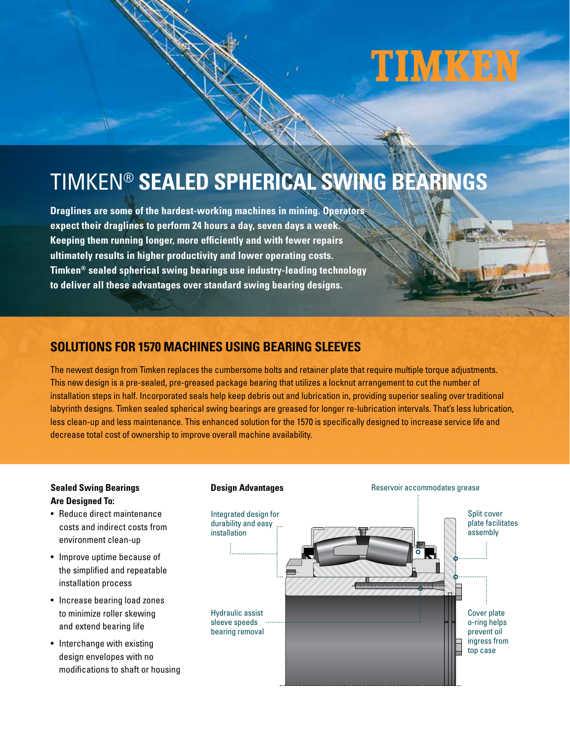# TIMKEN

**Carl College** 

# TIMKEN® **SEALED SPHERICAL SWING BEARINGS**

**Draglines are some of the hardest-working machines in mining. Operators expect their draglines to perform 24 hours a day, seven days a week. Keeping them running longer, more efficiently and with fewer repairs ultimately results in higher productivity and lower operating costs. Timken® sealed spherical swing bearings use industry-leading technology to deliver all these advantages over standard swing bearing designs.**

## **SOLUTIONS FOR 1570 MACHINES USING BEARING SLEEVES**

The newest design from Timken replaces the cumbersome bolts and retainer plate that require multiple torque adjustments. This new design is a pre-sealed, pre-greased package bearing that utilizes a locknut arrangement to cut the number of installation steps in half. Incorporated seals help keep debris out and lubrication in, providing superior sealing over traditional labyrinth designs. Timken sealed spherical swing bearings are greased for longer re-lubrication intervals. That's less lubrication, less clean-up and less maintenance. This enhanced solution for the 1570 is specifically designed to increase service life and decrease total cost of ownership to improve overall machine availability.

#### **Sealed Swing Bearings Are Designed To:**

- Reduce direct maintenance costs and indirect costs from environment clean-up
- Improve uptime because of the simplified and repeatable installation process
- Increase bearing load zones to minimize roller skewing and extend bearing life
- Interchange with existing design envelopes with no modifications to shaft or housing